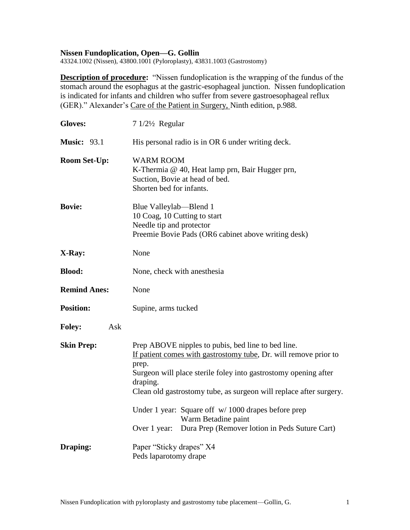### **Nissen Fundoplication, Open—G. Gollin**

43324.1002 (Nissen), 43800.1001 (Pyloroplasty), 43831.1003 (Gastrostomy)

**Description of procedure:** "Nissen fundoplication is the wrapping of the fundus of the stomach around the esophagus at the gastric-esophageal junction. Nissen fundoplication is indicated for infants and children who suffer from severe gastroesophageal reflux (GER)." Alexander's Care of the Patient in Surgery, Ninth edition, p.988.

| <b>Gloves:</b>       | 7 1/21/2 Regular                                                                                                                                                                                                                                                                     |
|----------------------|--------------------------------------------------------------------------------------------------------------------------------------------------------------------------------------------------------------------------------------------------------------------------------------|
| <b>Music: 93.1</b>   | His personal radio is in OR 6 under writing deck.                                                                                                                                                                                                                                    |
| <b>Room Set-Up:</b>  | <b>WARM ROOM</b><br>K-Thermia @ 40, Heat lamp prn, Bair Hugger prn,<br>Suction, Bovie at head of bed.<br>Shorten bed for infants.                                                                                                                                                    |
| <b>Bovie:</b>        | Blue Valleylab—Blend 1<br>10 Coag, 10 Cutting to start<br>Needle tip and protector<br>Preemie Bovie Pads (OR6 cabinet above writing desk)                                                                                                                                            |
| X-Ray:               | None                                                                                                                                                                                                                                                                                 |
| <b>Blood:</b>        | None, check with anesthesia                                                                                                                                                                                                                                                          |
| <b>Remind Anes:</b>  | None                                                                                                                                                                                                                                                                                 |
| <b>Position:</b>     | Supine, arms tucked                                                                                                                                                                                                                                                                  |
| <b>Foley:</b><br>Ask |                                                                                                                                                                                                                                                                                      |
| <b>Skin Prep:</b>    | Prep ABOVE nipples to pubis, bed line to bed line.<br>If patient comes with gastrostomy tube, Dr. will remove prior to<br>prep.<br>Surgeon will place sterile foley into gastrostomy opening after<br>draping.<br>Clean old gastrostomy tube, as surgeon will replace after surgery. |
|                      | Under 1 year: Square off $w/1000$ drapes before prep<br>Warm Betadine paint<br>Dura Prep (Remover lotion in Peds Suture Cart)<br>Over 1 year:                                                                                                                                        |
| Draping:             | Paper "Sticky drapes" X4<br>Peds laparotomy drape                                                                                                                                                                                                                                    |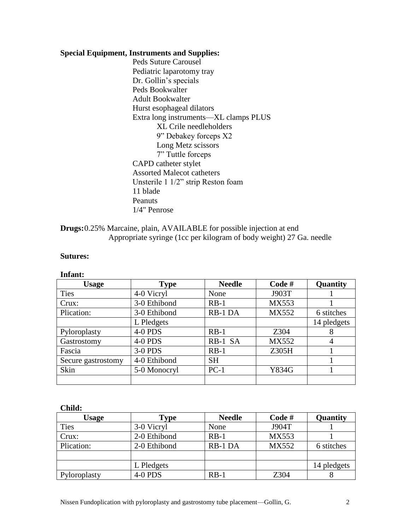### **Special Equipment, Instruments and Supplies:**

Peds Suture Carousel Pediatric laparotomy tray Dr. Gollin's specials Peds Bookwalter Adult Bookwalter Hurst esophageal dilators Extra long instruments—XL clamps PLUS XL Crile needleholders 9" Debakey forceps X2 Long Metz scissors 7" Tuttle forceps CAPD catheter stylet Assorted Malecot catheters Unsterile 1 1/2" strip Reston foam 11 blade Peanuts 1/4" Penrose

**Drugs:**0.25% Marcaine, plain, AVAILABLE for possible injection at end Appropriate syringe (1cc per kilogram of body weight) 27 Ga. needle

### **Sutures:**

#### **Infant:**

| <b>Usage</b>       | <b>Type</b>  | <b>Needle</b> | Code#        | Quantity    |
|--------------------|--------------|---------------|--------------|-------------|
| <b>Ties</b>        | 4-0 Vicryl   | None          | J903T        |             |
| Crux:              | 3-0 Ethibond | $RB-1$        | <b>MX553</b> |             |
| Plication:         | 3-0 Ethibond | RB-1 DA       | <b>MX552</b> | 6 stitches  |
|                    | L Pledgets   |               |              | 14 pledgets |
| Pyloroplasty       | 4-0 PDS      | $RB-1$        | Z304         | 8           |
| Gastrostomy        | 4-0 PDS      | RB-1 SA       | <b>MX552</b> | 4           |
| Fascia             | 3-0 PDS      | $RB-1$        | Z305H        |             |
| Secure gastrostomy | 4-0 Ethibond | <b>SH</b>     |              |             |
| Skin               | 5-0 Monocryl | $PC-1$        | Y834G        |             |
|                    |              |               |              |             |

#### **Child:**

| Usage        | Type         | <b>Needle</b> | Code#        | Quantity    |
|--------------|--------------|---------------|--------------|-------------|
| <b>Ties</b>  | 3-0 Vicryl   | None          | J904T        |             |
| Crux:        | 2-0 Ethibond | $RB-1$        | MX553        |             |
| Plication:   | 2-0 Ethibond | RB-1 DA       | <b>MX552</b> | 6 stitches  |
|              |              |               |              |             |
|              | L Pledgets   |               |              | 14 pledgets |
| Pyloroplasty | 4-0 PDS      | $RB-1$        | Z304         |             |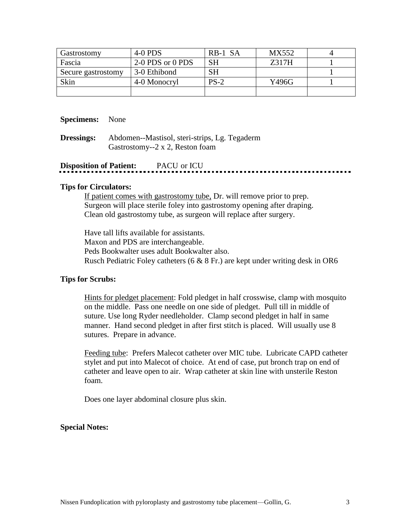| Gastrostomy        | $4-0$ PDS        | RB-1 SA   | MX552 |  |
|--------------------|------------------|-----------|-------|--|
| Fascia             | 2-0 PDS or 0 PDS | <b>SH</b> | Z317H |  |
| Secure gastrostomy | 3-0 Ethibond     | <b>SH</b> |       |  |
| Skin               | 4-0 Monocryl     | $PS-2$    | Y496G |  |
|                    |                  |           |       |  |

### **Specimens:** None

**Dressings:** Abdomen--Mastisol, steri-strips, Lg. Tegaderm Gastrostomy--2 x 2, Reston foam

# **Disposition of Patient:** PACU or ICU

### **Tips for Circulators:**

If patient comes with gastrostomy tube, Dr. will remove prior to prep. Surgeon will place sterile foley into gastrostomy opening after draping. Clean old gastrostomy tube, as surgeon will replace after surgery.

Have tall lifts available for assistants. Maxon and PDS are interchangeable. Peds Bookwalter uses adult Bookwalter also. Rusch Pediatric Foley catheters (6 & 8 Fr.) are kept under writing desk in OR6

### **Tips for Scrubs:**

Hints for pledget placement: Fold pledget in half crosswise, clamp with mosquito on the middle. Pass one needle on one side of pledget. Pull till in middle of suture. Use long Ryder needleholder. Clamp second pledget in half in same manner. Hand second pledget in after first stitch is placed. Will usually use 8 sutures. Prepare in advance.

Feeding tube: Prefers Malecot catheter over MIC tube. Lubricate CAPD catheter stylet and put into Malecot of choice. At end of case, put bronch trap on end of catheter and leave open to air. Wrap catheter at skin line with unsterile Reston foam.

Does one layer abdominal closure plus skin.

### **Special Notes:**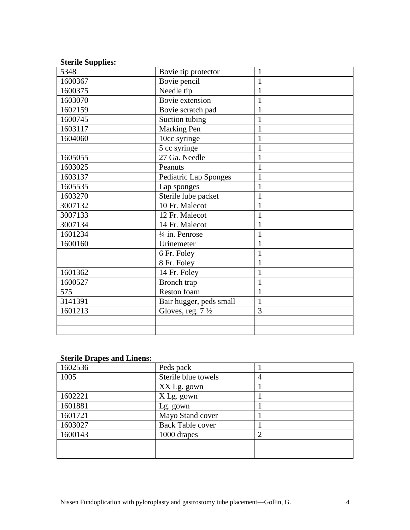| <b>Sterile Supplies:</b> |                             |                |
|--------------------------|-----------------------------|----------------|
| 5348                     | Bovie tip protector         | 1              |
| 1600367                  | Bovie pencil                | 1              |
| 1600375                  | Needle tip                  | $\mathbf{1}$   |
| 1603070                  | Bovie extension             | 1              |
| 1602159                  | Bovie scratch pad           | $\mathbf{1}$   |
| 1600745                  | Suction tubing              | $\mathbf{1}$   |
| 1603117                  | Marking Pen                 | 1              |
| 1604060                  | 10cc syringe                | $\mathbf{1}$   |
|                          | 5 cc syringe                | 1              |
| 1605055                  | 27 Ga. Needle               | $\mathbf{1}$   |
| 1603025                  | Peanuts                     | $\mathbf{1}$   |
| 1603137                  | Pediatric Lap Sponges       | $\mathbf{1}$   |
| 1605535                  | Lap sponges                 | 1              |
| 1603270                  | Sterile lube packet         | 1              |
| 3007132                  | 10 Fr. Malecot              | $\mathbf{1}$   |
| 3007133                  | 12 Fr. Malecot              | 1              |
| 3007134                  | 14 Fr. Malecot              | 1              |
| 1601234                  | $\frac{1}{4}$ in. Penrose   | 1              |
| 1600160                  | Urinemeter                  | $\mathbf{1}$   |
|                          | 6 Fr. Foley                 | 1              |
|                          | 8 Fr. Foley                 | 1              |
| 1601362                  | 14 Fr. Foley                | $\mathbf{1}$   |
| 1600527                  | Bronch trap                 | 1              |
| 575                      | Reston foam                 | $\mathbf{1}$   |
| 3141391                  | Bair hugger, peds small     | 1              |
| 1601213                  | Gloves, reg. $7\frac{1}{2}$ | $\overline{3}$ |
|                          |                             |                |
|                          |                             |                |

### **Sterile Drapes and Linens:**

| 1602536 | Peds pack               |  |
|---------|-------------------------|--|
| 1005    | Sterile blue towels     |  |
|         | XX Lg. gown             |  |
| 1602221 | X Lg. gown              |  |
| 1601881 | Lg. gown                |  |
| 1601721 | Mayo Stand cover        |  |
| 1603027 | <b>Back Table cover</b> |  |
| 1600143 | 1000 drapes             |  |
|         |                         |  |
|         |                         |  |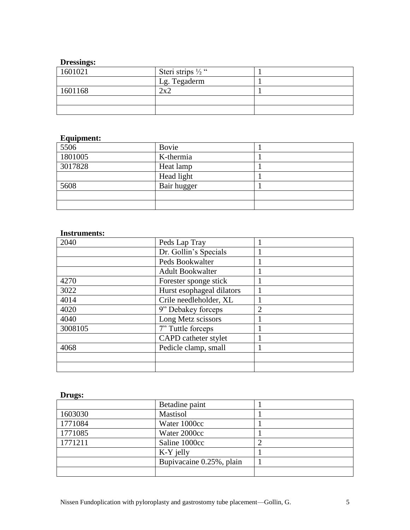# **Dressings:**

| 1601021 | Steri strips $\frac{1}{2}$ " |  |
|---------|------------------------------|--|
|         | Lg. Tegaderm                 |  |
| 1601168 | 2v2                          |  |
|         |                              |  |
|         |                              |  |

# **Equipment:**

| $\frac{1}{5506}$ | Bovie       |  |
|------------------|-------------|--|
| 1801005          | K-thermia   |  |
| 3017828          | Heat lamp   |  |
|                  | Head light  |  |
| 5608             | Bair hugger |  |
|                  |             |  |
|                  |             |  |

## **Instruments:**

| 2040    | Peds Lap Tray             |                |
|---------|---------------------------|----------------|
|         | Dr. Gollin's Specials     |                |
|         | Peds Bookwalter           |                |
|         | <b>Adult Bookwalter</b>   |                |
| 4270    | Forester sponge stick     |                |
| 3022    | Hurst esophageal dilators |                |
| 4014    | Crile needleholder, XL    |                |
| 4020    | 9" Debakey forceps        | $\overline{2}$ |
| 4040    | Long Metz scissors        |                |
| 3008105 | 7" Tuttle forceps         |                |
|         | CAPD catheter stylet      |                |
| 4068    | Pedicle clamp, small      |                |
|         |                           |                |
|         |                           |                |

# **Drugs:**

|         | Betadine paint           |  |
|---------|--------------------------|--|
| 1603030 | Mastisol                 |  |
| 1771084 | Water 1000cc             |  |
| 1771085 | Water 2000cc             |  |
| 1771211 | Saline 1000cc            |  |
|         | K-Y jelly                |  |
|         | Bupivacaine 0.25%, plain |  |
|         |                          |  |